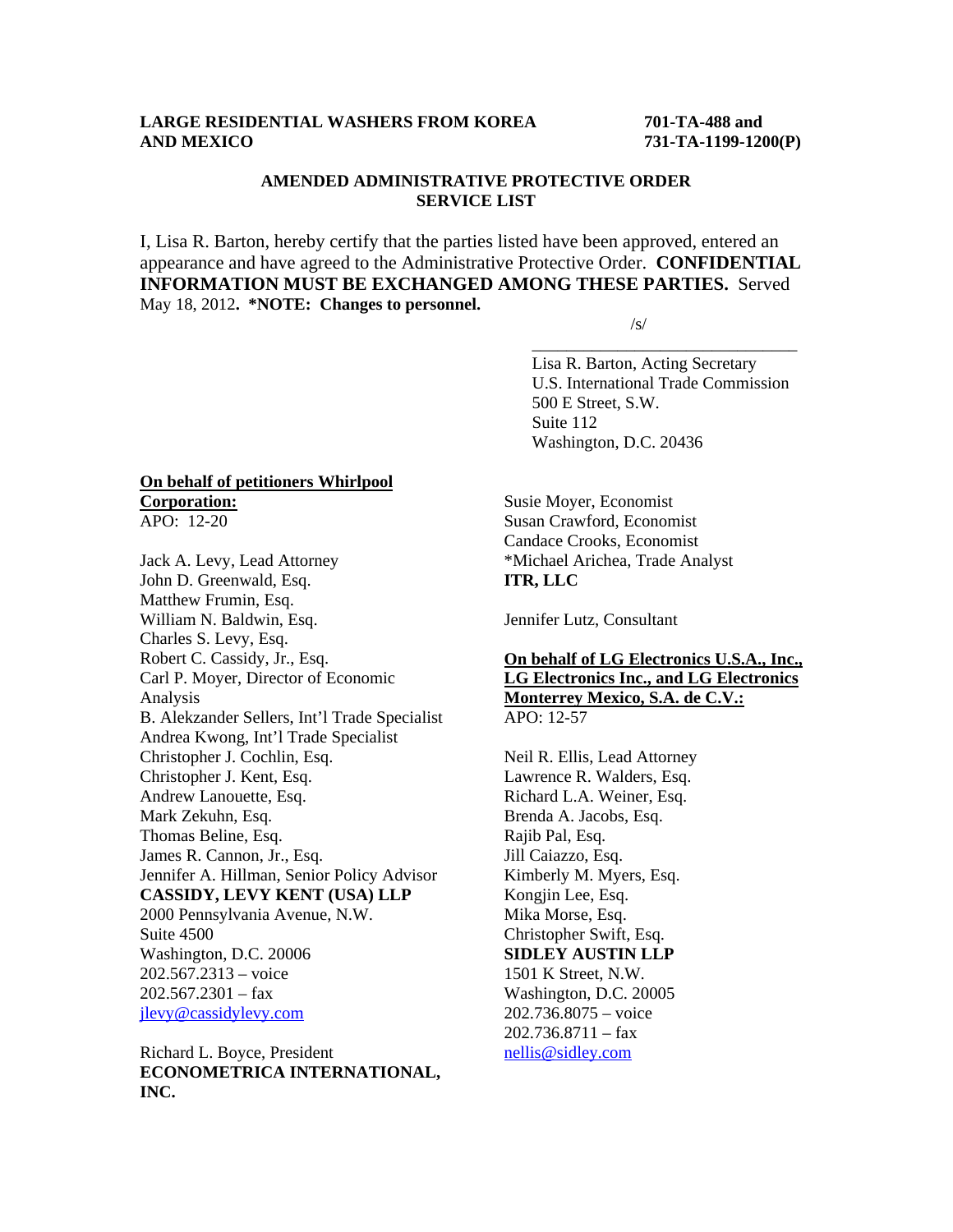# **LARGE RESIDENTIAL WASHERS FROM KOREA 701-TA-488 and AND MEXICO 731-TA-1199-1200(P)**

# **AMENDED ADMINISTRATIVE PROTECTIVE ORDER SERVICE LIST**

I, Lisa R. Barton, hereby certify that the parties listed have been approved, entered an appearance and have agreed to the Administrative Protective Order. **CONFIDENTIAL INFORMATION MUST BE EXCHANGED AMONG THESE PARTIES.** Served May 18, 2012**. \*NOTE: Changes to personnel.**   $\sqrt{s}$ /s/

 $\overline{\phantom{a}}$  , and the contract of the contract of the contract of the contract of the contract of the contract of the contract of the contract of the contract of the contract of the contract of the contract of the contrac

 Lisa R. Barton, Acting Secretary U.S. International Trade Commission 500 E Street, S.W. Suite 112 Washington, D.C. 20436

#### **On behalf of petitioners Whirlpool Corporation:** APO: 12-20

Jack A. Levy, Lead Attorney John D. Greenwald, Esq. Matthew Frumin, Esq. William N. Baldwin, Esq. Charles S. Levy, Esq. Robert C. Cassidy, Jr., Esq. Carl P. Moyer, Director of Economic Analysis B. Alekzander Sellers, Int'l Trade Specialist Andrea Kwong, Int'l Trade Specialist Christopher J. Cochlin, Esq. Christopher J. Kent, Esq. Andrew Lanouette, Esq. Mark Zekuhn, Esq. Thomas Beline, Esq. James R. Cannon, Jr., Esq. Jennifer A. Hillman, Senior Policy Advisor **CASSIDY, LEVY KENT (USA) LLP** 2000 Pennsylvania Avenue, N.W. Suite 4500 Washington, D.C. 20006 202.567.2313 – voice  $202.567.2301 - fax$ jlevy@cassidylevy.com

Richard L. Boyce, President **ECONOMETRICA INTERNATIONAL, INC.** 

Susie Moyer, Economist Susan Crawford, Economist Candace Crooks, Economist \*Michael Arichea, Trade Analyst **ITR, LLC** 

Jennifer Lutz, Consultant

## **On behalf of LG Electronics U.S.A., Inc., LG Electronics Inc., and LG Electronics Monterrey Mexico, S.A. de C.V.:** APO: 12-57

Neil R. Ellis, Lead Attorney Lawrence R. Walders, Esq. Richard L.A. Weiner, Esq. Brenda A. Jacobs, Esq. Rajib Pal, Esq. Jill Caiazzo, Esq. Kimberly M. Myers, Esq. Kongjin Lee, Esq. Mika Morse, Esq. Christopher Swift, Esq. **SIDLEY AUSTIN LLP** 1501 K Street, N.W. Washington, D.C. 20005 202.736.8075 – voice  $202.736.8711 - fax$ nellis@sidley.com